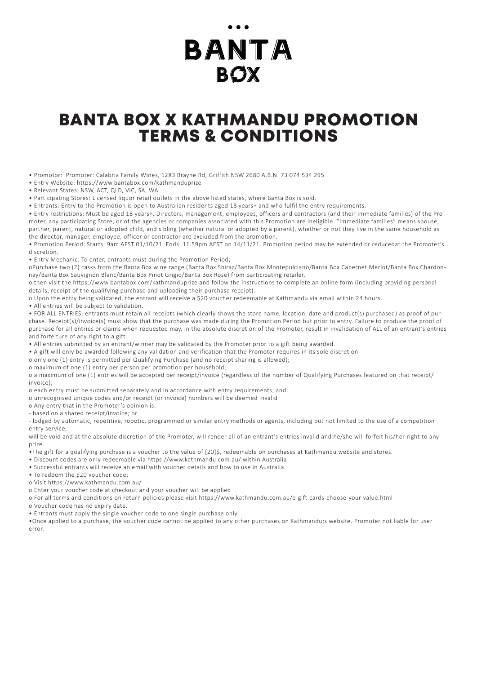# BANTA **BOX**

### TERMS & CONDITIONS BANTA BOX X KATHMANDU PROMOTION

• Promotor: Promoter: Calabria Family Wines, 1283 Brayne Rd, Griffith NSW 2680 A.B.N. 73 074 534 295

• Entry Website: https://www.bantabox.com/kathmanduprize

• Relevant States: NSW, ACT, QLD, VIC, SA, WA

• Participating Stores: Licensed liquor retail outlets in the above listed states, where Banta Box is sold.

• Entrants: Entry to the Promotion is open to Australian residents aged 18 years+ and who fulfil the entry requirements.

• Entry restrictions: Must be aged 18 years+. Directors, management, employees, officers and contractors (and their immediate families) of the Promoter, any participating Store, or of the agencies or companies associated with this Promotion are ineligible. "Immediate families" means spouse, partner, parent, natural or adopted child, and sibling (whether natural or adopted by a parent), whether or not they live in the same household as

the director, manager, employee, officer or contractor are excluded from the promotion.

• Promotion Period: Starts: 9am AEST 01/10/21. Ends: 11.59pm AEST on 14/11/21. Promotion period may be extended or reducedat the Promoter's discretion.

• Entry Mechanic: To enter, entrants must during the Promotion Period;

oPurchase two (2) casks from the Banta Box wine range (Banta Box Shiraz/Banta Box Montepulciano/Banta Box Cabernet Merlot/Banta Box Chardonnay/Banta Box Sauvignon Blanc/Banta Box Pinot Grigio/Banta Box Rose) from participating retailer.

o then visit the https://www.bantabox.com/kathmanduprize and follow the instructions to complete an online form (including providing personal details, receipt of the qualifying purchase and uploading their purchase receipt).

o Upon the entry being validated, the entrant will receive a \$20 voucher redeemable at Kathmandu via email within 24 hours.

• All entries will be subject to validation.

• FOR ALL ENTRIES, entrants must retain all receipts (which clearly shows the store name, location, date and product(s) purchased) as proof of purchase. Receipt(s)/invoice(s) must show that the purchase was made during the Promotion Period but prior to entry. Failure to produce the proof of purchase for all entries or claims when requested may, in the absolute discretion of the Promoter, result in invalidation of ALL of an entrant's entries and forfeiture of any right to a gift.

• All entries submitted by an entrant/winner may be validated by the Promoter prior to a gift being awarded.

• A gift will only be awarded following any validation and verification that the Promoter requires in its sole discretion.

o only one (1) entry is permitted per Qualifying Purchase (and no receipt sharing is allowed);

o maximum of one (1) entry per person per promotion per household;

o a maximum of one (1) entries will be accepted per receipt/invoice (regardless of the number of Qualifying Purchases featured on that receipt/ invoice);

o each entry must be submitted separately and in accordance with entry requirements; and

o unrecognised unique codes and/or receipt (or invoice) numbers will be deemed invalid

o Any entry that in the Promoter's opinion is:

- based on a shared receipt/invoice; or

- lodged by automatic, repetitive, robotic, programmed or similar entry methods or agents, including but not limited to the use of a competition entry service,

will be void and at the absolute discretion of the Promoter, will render all of an entrant's entries invalid and he/she will forfeit his/her right to any prize.

•The gift for a qualifying purchase is a voucher to the value of [20]\$, redeemable on purchases at Kathmandu website and stores.

• Discount codes are only redeemable via https://www.kathmandu.com.au/ within Australia

• Successful entrants will receive an email with voucher details and how to use in Australia.

• To redeem the \$20 voucher code:

o Visit https://www.kathmandu.com.au/

o Enter your voucher code at checkout and your voucher will be applied

o For all terms and conditions on return policies please visit https://www.kathmandu.com.au/e-gift-cards-choose-your-value.html

o Voucher code has no expiry date.

• Entrants must apply the single voucher code to one single purchase only.

•Once applied to a purchase, the voucher code cannot be applied to any other purchases on Kathmandu;s website. Promoter not liable for user error.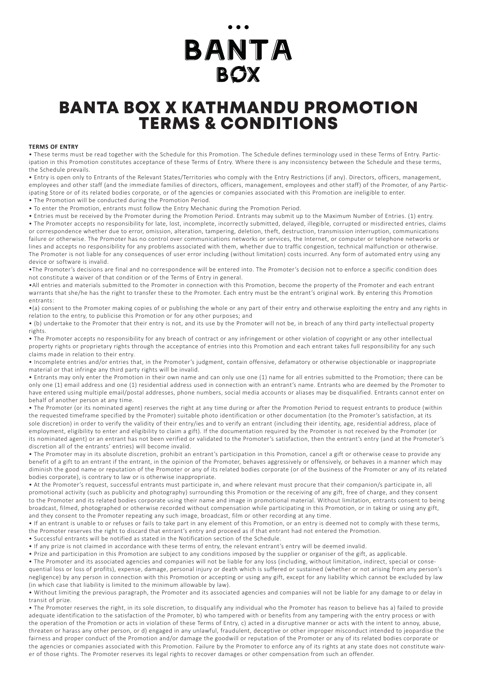## BANTA BOX

### TERMS & CONDITIONS BANTA BOX X KATHMANDU PROMOTION

#### **TERMS OF ENTRY**

• These terms must be read together with the Schedule for this Promotion. The Schedule defines terminology used in these Terms of Entry. Participation in this Promotion constitutes acceptance of these Terms of Entry. Where there is any inconsistency between the Schedule and these terms, the Schedule prevails.

• Entry is open only to Entrants of the Relevant States/Territories who comply with the Entry Restrictions (if any). Directors, officers, management, employees and other staff (and the immediate families of directors, officers, management, employees and other staff) of the Promoter, of any Participating Store or of its related bodies corporate, or of the agencies or companies associated with this Promotion are ineligible to enter.

• The Promotion will be conducted during the Promotion Period.

• To enter the Promotion, entrants must follow the Entry Mechanic during the Promotion Period.

• Entries must be received by the Promoter during the Promotion Period. Entrants may submit up to the Maximum Number of Entries. (1) entry. • The Promoter accepts no responsibility for late, lost, incomplete, incorrectly submitted, delayed, illegible, corrupted or misdirected entries, claims or correspondence whether due to error, omission, alteration, tampering, deletion, theft, destruction, transmission interruption, communications failure or otherwise. The Promoter has no control over communications networks or services, the Internet, or computer or telephone networks or lines and accepts no responsibility for any problems associated with them, whether due to traffic congestion, technical malfunction or otherwise. The Promoter is not liable for any consequences of user error including (without limitation) costs incurred. Any form of automated entry using any device or software is invalid.

•The Promoter's decisions are final and no correspondence will be entered into. The Promoter's decision not to enforce a specific condition does not constitute a waiver of that condition or of the Terms of Entry in general.

•All entries and materials submitted to the Promoter in connection with this Promotion, become the property of the Promoter and each entrant warrants that she/he has the right to transfer these to the Promoter. Each entry must be the entrant's original work. By entering this Promotion entrants:

•(a) consent to the Promoter making copies of or publishing the whole or any part of their entry and otherwise exploiting the entry and any rights in relation to the entry, to publicise this Promotion or for any other purposes; and

• (b) undertake to the Promoter that their entry is not, and its use by the Promoter will not be, in breach of any third party intellectual property rights.

• The Promoter accepts no responsibility for any breach of contract or any infringement or other violation of copyright or any other intellectual property rights or proprietary rights through the acceptance of entries into this Promotion and each entrant takes full responsibility for any such claims made in relation to their entry.

• Incomplete entries and/or entries that, in the Promoter's judgment, contain offensive, defamatory or otherwise objectionable or inappropriate material or that infringe any third party rights will be invalid.

• Entrants may only enter the Promotion in their own name and can only use one (1) name for all entries submitted to the Promotion; there can be only one (1) email address and one (1) residential address used in connection with an entrant's name. Entrants who are deemed by the Promoter to have entered using multiple email/postal addresses, phone numbers, social media accounts or aliases may be disqualified. Entrants cannot enter on behalf of another person at any time.

• The Promoter (or its nominated agent) reserves the right at any time during or after the Promotion Period to request entrants to produce (within the requested timeframe specified by the Promoter) suitable photo identification or other documentation (to the Promoter's satisfaction, at its sole discretion) in order to verify the validity of their entry/ies and to verify an entrant (including their identity, age, residential address, place of employment, eligibility to enter and eligibility to claim a gift). If the documentation required by the Promoter is not received by the Promoter (or its nominated agent) or an entrant has not been verified or validated to the Promoter's satisfaction, then the entrant's entry (and at the Promoter's discretion all of the entrants' entries) will become invalid.

• The Promoter may in its absolute discretion, prohibit an entrant's participation in this Promotion, cancel a gift or otherwise cease to provide any benefit of a gift to an entrant if the entrant, in the opinion of the Promoter, behaves aggressively or offensively, or behaves in a manner which may diminish the good name or reputation of the Promoter or any of its related bodies corporate (or of the business of the Promoter or any of its related bodies corporate), is contrary to law or is otherwise inappropriate.

• At the Promoter's request, successful entrants must participate in, and where relevant must procure that their companion/s participate in, all promotional activity (such as publicity and photography) surrounding this Promotion or the receiving of any gift, free of charge, and they consent to the Promoter and its related bodies corporate using their name and image in promotional material. Without limitation, entrants consent to being broadcast, filmed, photographed or otherwise recorded without compensation while participating in this Promotion, or in taking or using any gift, and they consent to the Promoter repeating any such image, broadcast, film or other recording at any time.

• If an entrant is unable to or refuses or fails to take part in any element of this Promotion, or an entry is deemed not to comply with these terms, the Promoter reserves the right to discard that entrant's entry and proceed as if that entrant had not entered the Promotion.

• Successful entrants will be notified as stated in the Notification section of the Schedule.

• If any prize is not claimed in accordance with these terms of entry, the relevant entrant's entry will be deemed invalid.

• Prize and participation in this Promotion are subject to any conditions imposed by the supplier or organiser of the gift, as applicable.

• The Promoter and its associated agencies and companies will not be liable for any loss (including, without limitation, indirect, special or consequential loss or loss of profits), expense, damage, personal injury or death which is suffered or sustained (whether or not arising from any person's negligence) by any person in connection with this Promotion or accepting or using any gift, except for any liability which cannot be excluded by law (in which case that liability is limited to the minimum allowable by law).

• Without limiting the previous paragraph, the Promoter and its associated agencies and companies will not be liable for any damage to or delay in transit of prize.

• The Promoter reserves the right, in its sole discretion, to disqualify any individual who the Promoter has reason to believe has a) failed to provide adequate identification to the satisfaction of the Promoter, b) who tampered with or benefits from any tampering with the entry process or with the operation of the Promotion or acts in violation of these Terms of Entry, c) acted in a disruptive manner or acts with the intent to annoy, abuse, threaten or harass any other person, or d) engaged in any unlawful, fraudulent, deceptive or other improper misconduct intended to jeopardise the fairness and proper conduct of the Promotion and/or damage the goodwill or reputation of the Promoter or any of its related bodies corporate or the agencies or companies associated with this Promotion. Failure by the Promoter to enforce any of its rights at any state does not constitute waiver of those rights. The Promoter reserves its legal rights to recover damages or other compensation from such an offender.